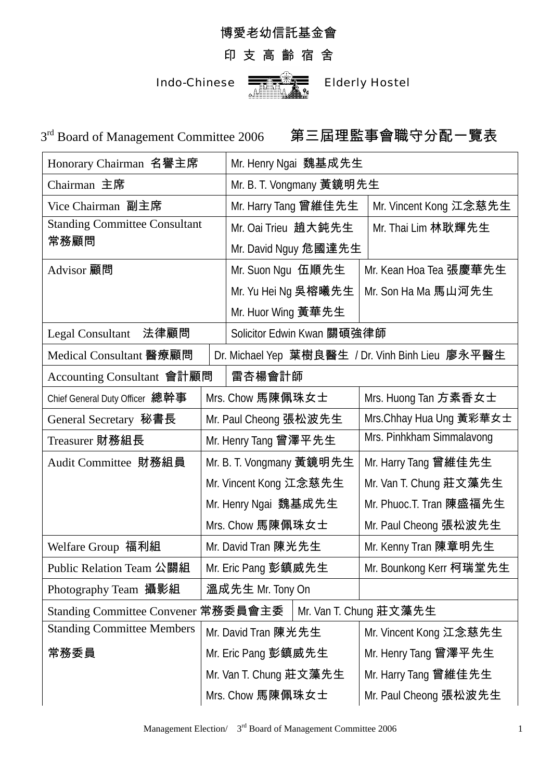## 博愛老幼信託基金會

## 印 支 高 齡 宿 舍

Indo-Chinese  $\frac{1}{\sqrt{2\pi}}\sqrt{\frac{1}{\sqrt{2\pi}}}$  Elderly Hostel

 $3<sup>rd</sup>$  Board of Management Committee 2006 第三屆理監事會職守分配一覽表

| Honorary Chairman 名譽主席                                        |                        | Mr. Henry Ngai 魏基成先生       |  |                                                  |
|---------------------------------------------------------------|------------------------|----------------------------|--|--------------------------------------------------|
| Chairman 主席                                                   |                        | Mr. B. T. Vongmany 黃鏡明先生   |  |                                                  |
| Vice Chairman 副主席                                             |                        | Mr. Harry Tang 曾維佳先生       |  | Mr. Vincent Kong 江念慈先生                           |
| <b>Standing Committee Consultant</b>                          |                        | Mr. Oai Trieu 趙大鈍先生        |  | Mr. Thai Lim 林耿輝先生                               |
| 常務顧問                                                          |                        | Mr. David Nguy 危國達先生       |  |                                                  |
| Advisor 顧問                                                    |                        | Mr. Suon Ngu 伍順先生          |  | Mr. Kean Hoa Tea 張慶華先生                           |
|                                                               |                        | Mr. Yu Hei Ng 吳榕曦先生        |  | Mr. Son Ha Ma 馬山河先生                              |
|                                                               |                        | Mr. Huor Wing 黃華先生         |  |                                                  |
| 法律顧問<br><b>Legal Consultant</b>                               |                        | Solicitor Edwin Kwan 關碩強律師 |  |                                                  |
| Medical Consultant 醫療顧問                                       |                        |                            |  | Dr. Michael Yep 葉樹良醫生 / Dr. Vinh Binh Lieu 廖永平醫生 |
| Accounting Consultant 會計顧問                                    |                        | 雷杏楊會計師                     |  |                                                  |
| Chief General Duty Officer 總幹事                                |                        | Mrs. Chow 馬陳佩珠女士           |  | Mrs. Huong Tan 方素香女士                             |
| General Secretary 秘書長                                         |                        | Mr. Paul Cheong 張松波先生      |  | Mrs.Chhay Hua Ung 黃彩華女士                          |
| Treasurer 財務組長                                                | Mr. Henry Tang 曾澤平先生   |                            |  | Mrs. Pinhkham Simmalavong                        |
| Audit Committee 財務組員                                          |                        | Mr. B. T. Vongmany 黃鏡明先生   |  | Mr. Harry Tang 曾維佳先生                             |
|                                                               |                        | Mr. Vincent Kong 江念慈先生     |  | Mr. Van T. Chung 莊文藻先生                           |
|                                                               |                        | Mr. Henry Ngai 魏基成先生       |  | Mr. Phuoc.T. Tran 陳盛福先生                          |
|                                                               |                        | Mrs. Chow 馬陳佩珠女士           |  | Mr. Paul Cheong 張松波先生                            |
| Welfare Group 福利組                                             |                        | Mr. David Tran 陳光先生        |  | Mr. Kenny Tran 陳章明先生                             |
| Public Relation Team 公關組                                      |                        | Mr. Eric Pang 彭鎮威先生        |  | Mr. Bounkong Kerr 柯瑞堂先生                          |
| Photography Team 攝影組                                          |                        | 溫成先生 Mr. Tony On           |  |                                                  |
| Standing Committee Convener 常務委員會主委<br>Mr. Van T. Chung 莊文藻先生 |                        |                            |  |                                                  |
| <b>Standing Committee Members</b>                             |                        | Mr. David Tran 陳光先生        |  | Mr. Vincent Kong 江念慈先生                           |
| 常務委員                                                          |                        | Mr. Eric Pang 彭鎮威先生        |  | Mr. Henry Tang 曾澤平先生                             |
|                                                               | Mr. Van T. Chung 莊文藻先生 |                            |  | Mr. Harry Tang 曾維佳先生                             |
|                                                               |                        | Mrs. Chow 馬陳佩珠女士           |  | Mr. Paul Cheong 張松波先生                            |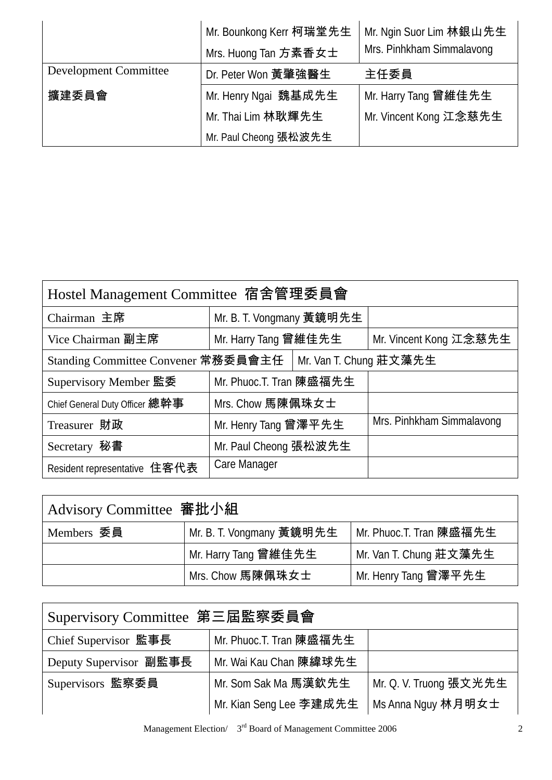|                              | Mr. Bounkong Kerr 柯瑞堂先生<br>Mrs. Huong Tan 方素香女士 | Mr. Ngin Suor Lim 林銀山先生<br>Mrs. Pinhkham Simmalavong |
|------------------------------|-------------------------------------------------|------------------------------------------------------|
| <b>Development Committee</b> | Dr. Peter Won 黃肇強醫生                             | 主任委員                                                 |
| 擴建委員會                        | Mr. Henry Ngai 魏基成先生                            | Mr. Harry Tang 曾維佳先生                                 |
|                              | Mr. Thai Lim 林耿輝先生                              | Mr. Vincent Kong 江念慈先生                               |
|                              | Mr. Paul Cheong 張松波先生                           |                                                      |

| Hostel Management Committee 宿舍管理委員會 |                          |  |                           |  |
|-------------------------------------|--------------------------|--|---------------------------|--|
| Chairman 主席                         | Mr. B. T. Vongmany 黃鏡明先生 |  |                           |  |
| Vice Chairman 副主席                   | Mr. Harry Tang 曾維佳先生     |  | Mr. Vincent Kong 江念慈先生    |  |
| Standing Committee Convener 常務委員會主任 |                          |  | Mr. Van T. Chung 莊文藻先生    |  |
| Supervisory Member 監委               | Mr. Phuoc.T. Tran 陳盛福先生  |  |                           |  |
| Chief General Duty Officer 總幹事      | Mrs. Chow 馬陳佩珠女士         |  |                           |  |
| Treasurer 財政                        | Mr. Henry Tang 曾澤平先生     |  | Mrs. Pinhkham Simmalavong |  |
| Secretary 秘書                        | Mr. Paul Cheong 張松波先生    |  |                           |  |
| Resident representative 住客代表        | Care Manager             |  |                           |  |

| Advisory Committee 審批小組 |                          |                         |  |
|-------------------------|--------------------------|-------------------------|--|
| Members 委員              | Mr. B. T. Vongmany 黃鏡明先生 | Mr. Phuoc.T. Tran 陳盛福先生 |  |
|                         | Mr. Harry Tang 曾維佳先生     | Mr. Van T. Chung 莊文藻先生  |  |
|                         | Mrs. Chow 馬陳佩珠女士         | Mr. Henry Tang 曾澤平先生    |  |

| Supervisory Committee 第三屆監察委員會 |                         |                        |  |
|--------------------------------|-------------------------|------------------------|--|
| Chief Supervisor 監事長           | Mr. Phuoc.T. Tran 陳盛福先生 |                        |  |
| Deputy Supervisor 副監事長         | Mr. Wai Kau Chan 陳緯球先生  |                        |  |
| Supervisors 監察委員               | Mr. Som Sak Ma 馬漢欽先生    | Mr. Q. V. Truong 張文光先生 |  |
|                                | Mr. Kian Seng Lee 李建成先生 | Ms Anna Nguy 林月明女士     |  |

Management Election/  $3<sup>rd</sup>$  Board of Management Committee 2006 2